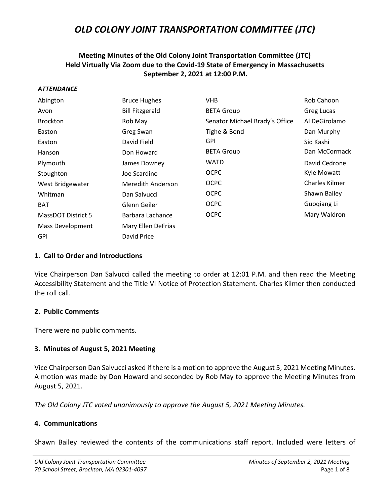## **Meeting Minutes of the Old Colony Joint Transportation Committee (JTC) Held Virtually Via Zoom due to the Covid-19 State of Emergency in Massachusetts September 2, 2021 at 12:00 P.M.**

#### *ATTENDANCE*

| Abington                  | <b>Bruce Hughes</b>    | <b>VHB</b>                     | Rob Cahoon     |
|---------------------------|------------------------|--------------------------------|----------------|
| Avon                      | <b>Bill Fitzgerald</b> | <b>BETA Group</b>              | Greg Lucas     |
| <b>Brockton</b>           | Rob May                | Senator Michael Brady's Office | Al DeGirolamo  |
| Easton                    | Greg Swan              | Tighe & Bond                   | Dan Murphy     |
| Easton                    | David Field            | <b>GPI</b>                     | Sid Kashi      |
| Hanson                    | Don Howard             | <b>BETA Group</b>              | Dan McCormack  |
| Plymouth                  | James Downey           | WATD                           | David Cedrone  |
| Stoughton                 | Joe Scardino           | <b>OCPC</b>                    | Kyle Mowatt    |
| West Bridgewater          | Meredith Anderson      | <b>OCPC</b>                    | Charles Kilmer |
| Whitman                   | Dan Salvucci           | <b>OCPC</b>                    | Shawn Bailey   |
| <b>BAT</b>                | Glenn Geiler           | <b>OCPC</b>                    | Guogiang Li    |
| <b>MassDOT District 5</b> | Barbara Lachance       | <b>OCPC</b>                    | Mary Waldron   |
| <b>Mass Development</b>   | Mary Ellen DeFrias     |                                |                |
| <b>GPI</b>                | David Price            |                                |                |

#### **1. Call to Order and Introductions**

Vice Chairperson Dan Salvucci called the meeting to order at 12:01 P.M. and then read the Meeting Accessibility Statement and the Title VI Notice of Protection Statement. Charles Kilmer then conducted the roll call.

#### **2. Public Comments**

There were no public comments.

### **3. Minutes of August 5, 2021 Meeting**

Vice Chairperson Dan Salvucci asked if there is a motion to approve the August 5, 2021 Meeting Minutes. A motion was made by Don Howard and seconded by Rob May to approve the Meeting Minutes from August 5, 2021.

*The Old Colony JTC voted unanimously to approve the August 5, 2021 Meeting Minutes.*

### **4. Communications**

Shawn Bailey reviewed the contents of the communications staff report. Included were letters of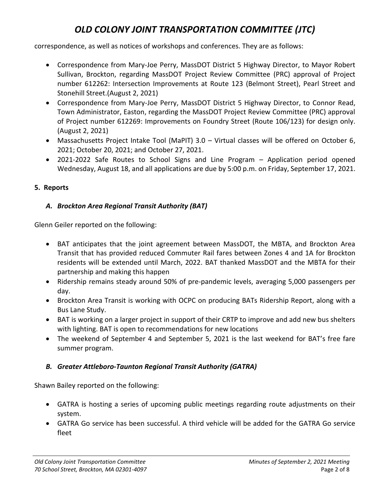correspondence, as well as notices of workshops and conferences. They are as follows:

- Correspondence from Mary-Joe Perry, MassDOT District 5 Highway Director, to Mayor Robert Sullivan, Brockton, regarding MassDOT Project Review Committee (PRC) approval of Project number 612262: Intersection Improvements at Route 123 (Belmont Street), Pearl Street and Stonehill Street.(August 2, 2021)
- Correspondence from Mary-Joe Perry, MassDOT District 5 Highway Director, to Connor Read, Town Administrator, Easton, regarding the MassDOT Project Review Committee (PRC) approval of Project number 612269: Improvements on Foundry Street (Route 106/123) for design only. (August 2, 2021)
- Massachusetts Project Intake Tool (MaPIT) 3.0 Virtual classes will be offered on October 6, 2021; October 20, 2021; and October 27, 2021.
- 2021-2022 Safe Routes to School Signs and Line Program Application period opened Wednesday, August 18, and all applications are due by 5:00 p.m. on Friday, September 17, 2021.

### **5. Reports**

## *A. Brockton Area Regional Transit Authority (BAT)*

Glenn Geiler reported on the following:

- BAT anticipates that the joint agreement between MassDOT, the MBTA, and Brockton Area Transit that has provided reduced Commuter Rail fares between Zones 4 and 1A for Brockton residents will be extended until March, 2022. BAT thanked MassDOT and the MBTA for their partnership and making this happen
- Ridership remains steady around 50% of pre-pandemic levels, averaging 5,000 passengers per day.
- Brockton Area Transit is working with OCPC on producing BATs Ridership Report, along with a Bus Lane Study.
- BAT is working on a larger project in support of their CRTP to improve and add new bus shelters with lighting. BAT is open to recommendations for new locations
- The weekend of September 4 and September 5, 2021 is the last weekend for BAT's free fare summer program.

## *B. Greater Attleboro-Taunton Regional Transit Authority (GATRA)*

Shawn Bailey reported on the following:

- GATRA is hosting a series of upcoming public meetings regarding route adjustments on their system.
- GATRA Go service has been successful. A third vehicle will be added for the GATRA Go service fleet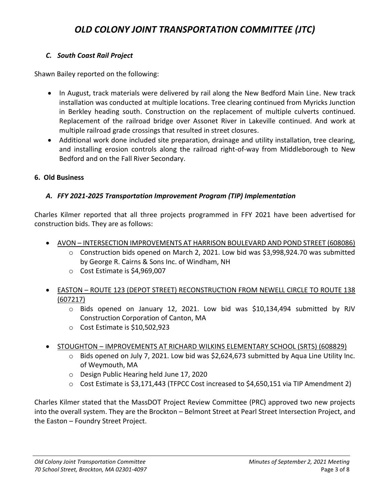## *C. South Coast Rail Project*

Shawn Bailey reported on the following:

- In August, track materials were delivered by rail along the New Bedford Main Line. New track installation was conducted at multiple locations. Tree clearing continued from Myricks Junction in Berkley heading south. Construction on the replacement of multiple culverts continued. Replacement of the railroad bridge over Assonet River in Lakeville continued. And work at multiple railroad grade crossings that resulted in street closures.
- Additional work done included site preparation, drainage and utility installation, tree clearing, and installing erosion controls along the railroad right-of-way from Middleborough to New Bedford and on the Fall River Secondary.

### **6. Old Business**

## *A. FFY 2021-2025 Transportation Improvement Program (TIP) Implementation*

Charles Kilmer reported that all three projects programmed in FFY 2021 have been advertised for construction bids. They are as follows:

- AVON INTERSECTION IMPROVEMENTS AT HARRISON BOULEVARD AND POND STREET (608086)
	- $\circ$  Construction bids opened on March 2, 2021. Low bid was \$3,998,924.70 was submitted by George R. Cairns & Sons Inc. of Windham, NH
	- o Cost Estimate is \$4,969,007
- EASTON ROUTE 123 (DEPOT STREET) RECONSTRUCTION FROM NEWELL CIRCLE TO ROUTE 138 (607217)
	- $\circ$  Bids opened on January 12, 2021. Low bid was \$10,134,494 submitted by RJV Construction Corporation of Canton, MA
	- o Cost Estimate is \$10,502,923
- STOUGHTON IMPROVEMENTS AT RICHARD WILKINS ELEMENTARY SCHOOL (SRTS) (608829)
	- $\circ$  Bids opened on July 7, 2021. Low bid was \$2,624,673 submitted by Aqua Line Utility Inc. of Weymouth, MA
	- o Design Public Hearing held June 17, 2020
	- o Cost Estimate is \$3,171,443 (TFPCC Cost increased to \$4,650,151 via TIP Amendment 2)

Charles Kilmer stated that the MassDOT Project Review Committee (PRC) approved two new projects into the overall system. They are the Brockton – Belmont Street at Pearl Street Intersection Project, and the Easton – Foundry Street Project.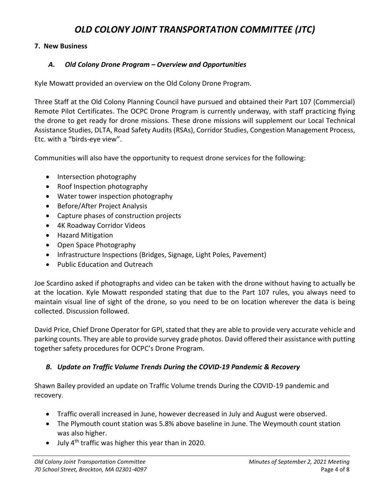### **7. New Business**

## *A. Old Colony Drone Program – Overview and Opportunities*

Kyle Mowatt provided an overview on the Old Colony Drone Program.

Three Staff at the Old Colony Planning Council have pursued and obtained their Part 107 (Commercial) Remote Pilot Certificates. The OCPC Drone Program is currently underway, with staff practicing flying the drone to get ready for drone missions. These drone missions will supplement our Local Technical Assistance Studies, DLTA, Road Safety Audits (RSAs), Corridor Studies, Congestion Management Process, Etc. with a "birds-eye view".

Communities will also have the opportunity to request drone services for the following:

- Intersection photography
- Roof Inspection photography
- Water tower inspection photography
- Before/After Project Analysis
- Capture phases of construction projects
- 4K Roadway Corridor Videos
- Hazard Mitigation
- Open Space Photography
- Infrastructure Inspections (Bridges, Signage, Light Poles, Pavement)
- Public Education and Outreach

Joe Scardino asked if photographs and video can be taken with the drone without having to actually be at the location. Kyle Mowatt responded stating that due to the Part 107 rules, you always need to maintain visual line of sight of the drone, so you need to be on location wherever the data is being collected. Discussion followed.

David Price, Chief Drone Operator for GPI, stated that they are able to provide very accurate vehicle and parking counts. They are able to provide survey grade photos. David offered their assistance with putting together safety procedures for OCPC's Drone Program.

## *B. Update on Traffic Volume Trends During the COVID-19 Pandemic & Recovery*

Shawn Bailey provided an update on Traffic Volume trends During the COVID-19 pandemic and recovery.

- Traffic overall increased in June, however decreased in July and August were observed.
- The Plymouth count station was 5.8% above baseline in June. The Weymouth count station was also higher.
- July  $4<sup>th</sup>$  traffic was higher this year than in 2020.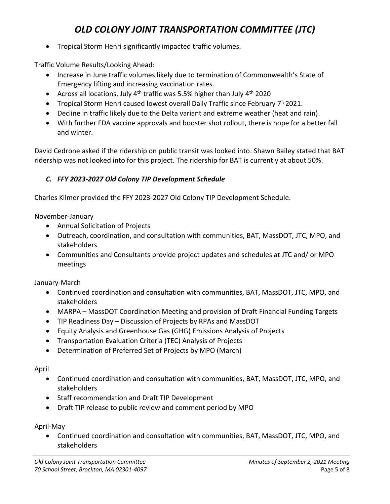• Tropical Storm Henri significantly impacted traffic volumes.

Traffic Volume Results/Looking Ahead:

- Increase in June traffic volumes likely due to termination of Commonwealth's State of Emergency lifting and increasing vaccination rates.
- Across all locations, July  $4^{th}$  traffic was 5.5% higher than July  $4^{th}$  2020
- Tropical Storm Henri caused lowest overall Daily Traffic since February  $7^{t}$ , 2021.
- Decline in traffic likely due to the Delta variant and extreme weather (heat and rain).
- With further FDA vaccine approvals and booster shot rollout, there is hope for a better fall and winter.

David Cedrone asked if the ridership on public transit was looked into. Shawn Bailey stated that BAT ridership was not looked into for this project. The ridership for BAT is currently at about 50%.

## *C. FFY 2023-2027 Old Colony TIP Development Schedule*

Charles Kilmer provided the FFY 2023-2027 Old Colony TIP Development Schedule.

November-January

- Annual Solicitation of Projects
- Outreach, coordination, and consultation with communities, BAT, MassDOT, JTC, MPO, and stakeholders
- Communities and Consultants provide project updates and schedules at JTC and/ or MPO meetings

January-March

- Continued coordination and consultation with communities, BAT, MassDOT, JTC, MPO, and stakeholders
- MARPA MassDOT Coordination Meeting and provision of Draft Financial Funding Targets
- TIP Readiness Day Discussion of Projects by RPAs and MassDOT
- Equity Analysis and Greenhouse Gas (GHG) Emissions Analysis of Projects
- Transportation Evaluation Criteria (TEC) Analysis of Projects
- Determination of Preferred Set of Projects by MPO (March)

April

- Continued coordination and consultation with communities, BAT, MassDOT, JTC, MPO, and stakeholders
- Staff recommendation and Draft TIP Development
- Draft TIP release to public review and comment period by MPO

April-May

• Continued coordination and consultation with communities, BAT, MassDOT, JTC, MPO, and stakeholders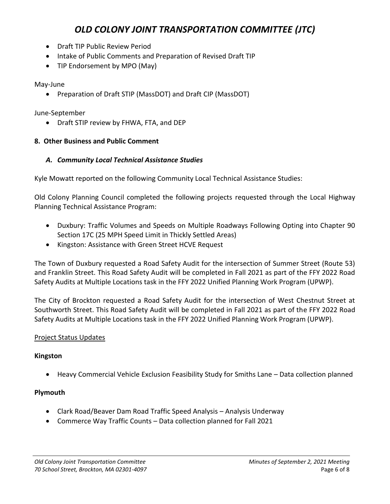- Draft TIP Public Review Period
- Intake of Public Comments and Preparation of Revised Draft TIP
- TIP Endorsement by MPO (May)

May-June

• Preparation of Draft STIP (MassDOT) and Draft CIP (MassDOT)

June-September

• Draft STIP review by FHWA, FTA, and DEP

### **8. Other Business and Public Comment**

### *A. Community Local Technical Assistance Studies*

Kyle Mowatt reported on the following Community Local Technical Assistance Studies:

Old Colony Planning Council completed the following projects requested through the Local Highway Planning Technical Assistance Program:

- Duxbury: Traffic Volumes and Speeds on Multiple Roadways Following Opting into Chapter 90 Section 17C (25 MPH Speed Limit in Thickly Settled Areas)
- Kingston: Assistance with Green Street HCVE Request

The Town of Duxbury requested a Road Safety Audit for the intersection of Summer Street (Route 53) and Franklin Street. This Road Safety Audit will be completed in Fall 2021 as part of the FFY 2022 Road Safety Audits at Multiple Locations task in the FFY 2022 Unified Planning Work Program (UPWP).

The City of Brockton requested a Road Safety Audit for the intersection of West Chestnut Street at Southworth Street. This Road Safety Audit will be completed in Fall 2021 as part of the FFY 2022 Road Safety Audits at Multiple Locations task in the FFY 2022 Unified Planning Work Program (UPWP).

### Project Status Updates

### **Kingston**

• Heavy Commercial Vehicle Exclusion Feasibility Study for Smiths Lane – Data collection planned

### **Plymouth**

- Clark Road/Beaver Dam Road Traffic Speed Analysis Analysis Underway
- Commerce Way Traffic Counts Data collection planned for Fall 2021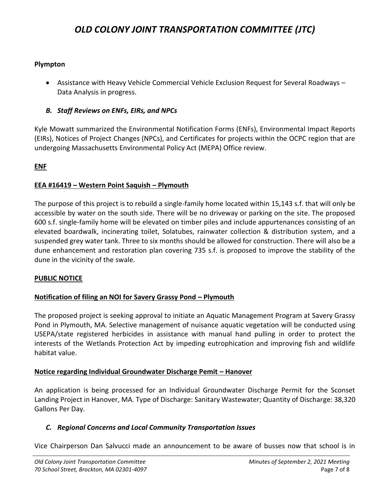### **Plympton**

• Assistance with Heavy Vehicle Commercial Vehicle Exclusion Request for Several Roadways – Data Analysis in progress.

### *B. Staff Reviews on ENFs, EIRs, and NPCs*

Kyle Mowatt summarized the Environmental Notification Forms (ENFs), Environmental Impact Reports (EIRs), Notices of Project Changes (NPCs), and Certificates for projects within the OCPC region that are undergoing Massachusetts Environmental Policy Act (MEPA) Office review.

#### **ENF**

#### **EEA #16419 – Western Point Saquish – Plymouth**

The purpose of this project is to rebuild a single-family home located within 15,143 s.f. that will only be accessible by water on the south side. There will be no driveway or parking on the site. The proposed 600 s.f. single-family home will be elevated on timber piles and include appurtenances consisting of an elevated boardwalk, incinerating toilet, Solatubes, rainwater collection & distribution system, and a suspended grey water tank. Three to six months should be allowed for construction. There will also be a dune enhancement and restoration plan covering 735 s.f. is proposed to improve the stability of the dune in the vicinity of the swale.

#### **PUBLIC NOTICE**

### **Notification of filing an NOI for Savery Grassy Pond – Plymouth**

The proposed project is seeking approval to initiate an Aquatic Management Program at Savery Grassy Pond in Plymouth, MA. Selective management of nuisance aquatic vegetation will be conducted using USEPA/state registered herbicides in assistance with manual hand pulling in order to protect the interests of the Wetlands Protection Act by impeding eutrophication and improving fish and wildlife habitat value.

#### **Notice regarding Individual Groundwater Discharge Pemit – Hanover**

An application is being processed for an Individual Groundwater Discharge Permit for the Sconset Landing Project in Hanover, MA. Type of Discharge: Sanitary Wastewater; Quantity of Discharge: 38,320 Gallons Per Day.

#### *C. Regional Concerns and Local Community Transportation Issues*

Vice Chairperson Dan Salvucci made an announcement to be aware of busses now that school is in